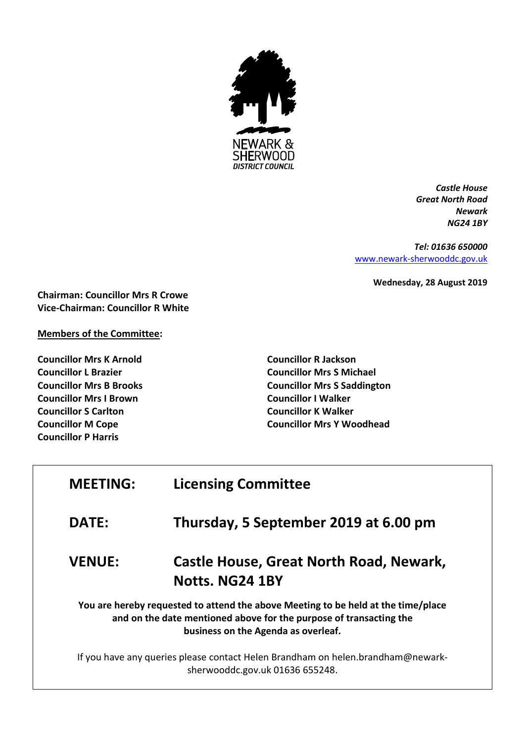

*Castle House Great North Road Newark NG24 1BY*

*Tel: 01636 650000* [www.newark-sherwooddc.gov.uk](http://www.newark-sherwooddc.gov.uk/)

**Wednesday, 28 August 2019**

**Chairman: Councillor Mrs R Crowe Vice-Chairman: Councillor R White**

**Members of the Committee:**

**Councillor Mrs K Arnold Councillor L Brazier Councillor Mrs B Brooks Councillor Mrs I Brown Councillor S Carlton Councillor M Cope Councillor P Harris**

**Councillor R Jackson Councillor Mrs S Michael Councillor Mrs S Saddington Councillor I Walker Councillor K Walker Councillor Mrs Y Woodhead**

| <b>MEETING:</b> | <b>Licensing Committee</b>                                                                                                                                                                     |  |
|-----------------|------------------------------------------------------------------------------------------------------------------------------------------------------------------------------------------------|--|
| <b>DATE:</b>    | Thursday, 5 September 2019 at 6.00 pm                                                                                                                                                          |  |
| <b>VENUE:</b>   | <b>Castle House, Great North Road, Newark,</b><br>Notts. NG24 1BY                                                                                                                              |  |
|                 | You are hereby requested to attend the above Meeting to be held at the time/place<br>and on the date mentioned above for the purpose of transacting the<br>business on the Agenda as overleaf. |  |
|                 | If you have any queries please contact Helen Brandham on helen.brandham@newark-<br>sherwooddc.gov.uk 01636 655248.                                                                             |  |